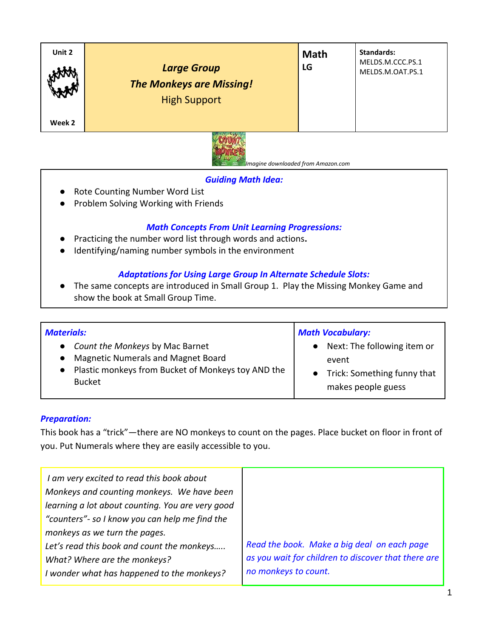| Unit 2 | <b>Large Group</b><br><b>The Monkeys are Missing!</b><br><b>High Support</b> | <b>Math</b><br>LG | Standards:<br>MELDS.M.CCC.PS.1<br>MELDS.M.OAT.PS.1 |
|--------|------------------------------------------------------------------------------|-------------------|----------------------------------------------------|
| Week 2 |                                                                              |                   |                                                    |



 *Imagine downloaded from Amazon.com*

# *Guiding Math Idea:*

- Rote Counting Number Word List
- Problem Solving Working with Friends

# *Math Concepts From Unit Learning Progressions:*

- Practicing the number word list through words and actions**.**
- Identifying/naming number symbols in the environment

# *Adaptations for Using Large Group In Alternate Schedule Slots:*

● The same concepts are introduced in Small Group 1. Play the Missing Monkey Game and show the book at Small Group Time.

| <b>Materials:</b>                                                                                                                                                                          | <b>Math Vocabulary:</b>                                                                   |  |
|--------------------------------------------------------------------------------------------------------------------------------------------------------------------------------------------|-------------------------------------------------------------------------------------------|--|
| Count the Monkeys by Mac Barnet<br>$\bullet$<br><b>Magnetic Numerals and Magnet Board</b><br>$\bullet$<br>Plastic monkeys from Bucket of Monkeys toy AND the<br>$\bullet$<br><b>Bucket</b> | Next: The following item or<br>event<br>Trick: Something funny that<br>makes people guess |  |

### *Preparation:*

This book has a "trick"—there are NO monkeys to count on the pages. Place bucket on floor in front of you. Put Numerals where they are easily accessible to you.

| I am very excited to read this book about        |                                                     |
|--------------------------------------------------|-----------------------------------------------------|
| Monkeys and counting monkeys. We have been       |                                                     |
| learning a lot about counting. You are very good |                                                     |
| "counters" - so I know you can help me find the  |                                                     |
| monkeys as we turn the pages.                    |                                                     |
| Let's read this book and count the monkeys       | Read the book. Make a big deal on each page         |
| What? Where are the monkeys?                     | as you wait for children to discover that there are |
| I wonder what has happened to the monkeys?       | no monkeys to count.                                |
|                                                  |                                                     |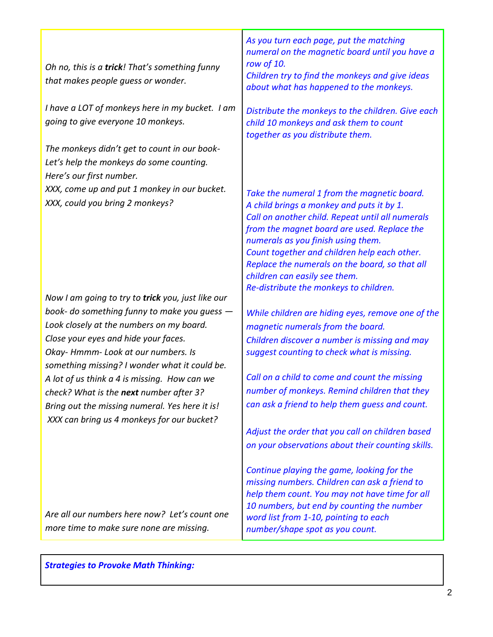*Oh no, this is a trick! That's something funny that makes people guess or wonder.*

*I have a LOT of monkeys here in my bucket. I am going to give everyone 10 monkeys.*

*The monkeys didn't get to count in our book-Let's help the monkeys do some counting. Here's our first number. XXX, come up and put 1 monkey in our bucket. XXX, could you bring 2 monkeys?*

*Now I am going to try to trick you, just like our book- do something funny to make you guess — Look closely at the numbers on my board. Close your eyes and hide your faces. Okay- Hmmm- Look at our numbers. Is something missing? I wonder what it could be. A lot of us think a 4 is missing. How can we check? What is the next number after 3? Bring out the missing numeral. Yes here it is! XXX can bring us 4 monkeys for our bucket?*

*Are all our numbers here now? Let's count one more time to make sure none are missing.*

*As you turn each page, put the matching numeral on the magnetic board until you have a row of 10.*

*Children try to find the monkeys and give ideas about what has happened to the monkeys.* 

*Distribute the monkeys to the children. Give each child 10 monkeys and ask them to count together as you distribute them.*

*Take the numeral 1 from the magnetic board. A child brings a monkey and puts it by 1. Call on another child. Repeat until all numerals from the magnet board are used. Replace the numerals as you finish using them. Count together and children help each other. Replace the numerals on the board, so that all children can easily see them. Re-distribute the monkeys to children.*

*While children are hiding eyes, remove one of the magnetic numerals from the board. Children discover a number is missing and may suggest counting to check what is missing.*

*Call on a child to come and count the missing number of monkeys. Remind children that they can ask a friend to help them guess and count.* 

*Adjust the order that you call on children based on your observations about their counting skills.*

*Continue playing the game, looking for the missing numbers. Children can ask a friend to help them count. You may not have time for all 10 numbers, but end by counting the number word list from 1-10, pointing to each number/shape spot as you count.*

*Strategies to Provoke Math Thinking:*